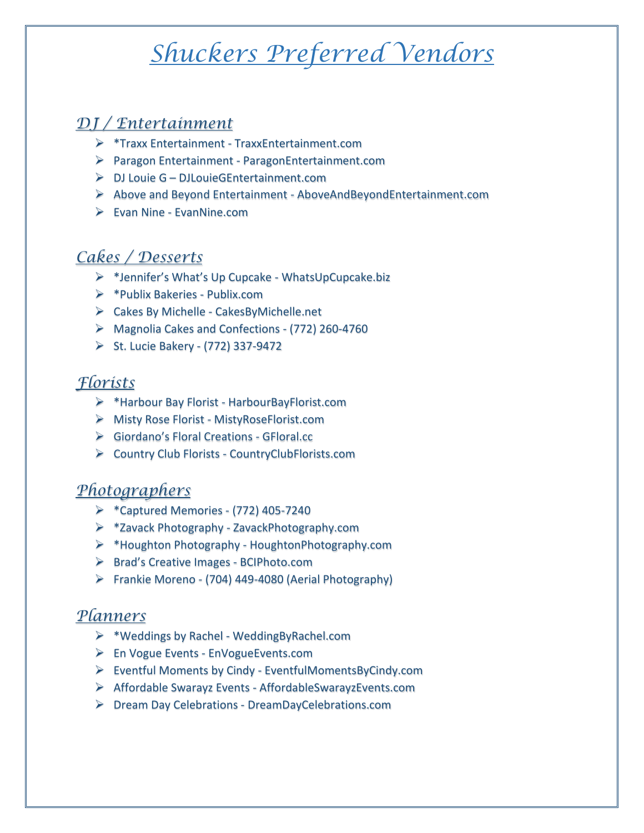# *Shuckers Preferred Vendors*

## *DJ / Entertainment*

- \*Traxx Entertainment TraxxEntertainment.com
- Paragon Entertainment ParagonEntertainment.com
- DJ Louie G DJLouieGEntertainment.com
- $\triangleright$  Above and Beyond Entertainment AboveAndBeyondEntertainment.com
- Evan Nine EvanNine.com

## *Cakes / Desserts*

- \*Jennifer's What's Up Cupcake WhatsUpCupcake.biz
- \*Publix Bakeries Publix.com
- Cakes By Michelle CakesByMichelle.net
- Magnolia Cakes and Confections (772) 260-4760
- St. Lucie Bakery (772) 337-9472

## *Florists*

- \*Harbour Bay Florist HarbourBayFlorist.com
- Misty Rose Florist MistyRoseFlorist.com
- Giordano's Floral Creations GFloral.cc
- Country Club Florists CountryClubFlorists.com

### *Photographers*

- $\triangleright$  \*Captured Memories (772) 405-7240
- \*Zavack Photography ZavackPhotography.com
- \*Houghton Photography HoughtonPhotography.com
- ▶ Brad's Creative Images BCIPhoto.com
- Frankie Moreno (704) 449-4080 (Aerial Photography)

### *Planners*

- \*Weddings by Rachel WeddingByRachel.com
- En Vogue Events EnVogueEvents.com
- Eventful Moments by Cindy EventfulMomentsByCindy.com
- Affordable Swarayz Events AffordableSwarayzEvents.com
- Dream Day Celebrations DreamDayCelebrations.com